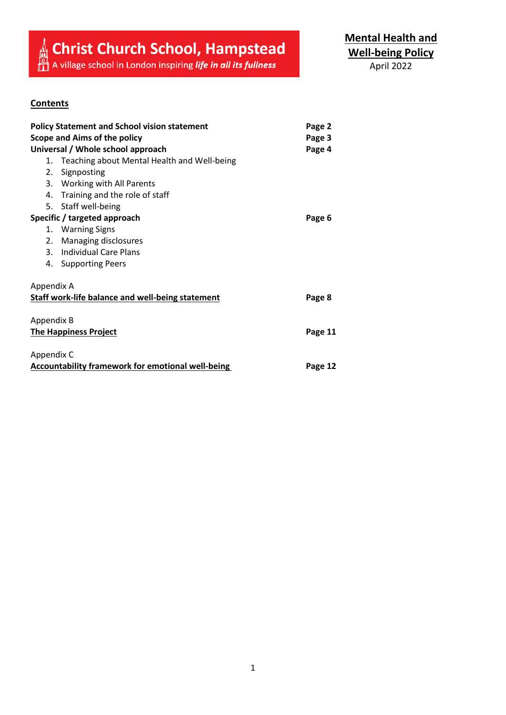# **A** Christ Church School, Hampstead  $\mathbf{f}_{\text{max}}^{\text{A}}$  A village school in London inspiring *life in all its fullness*

**Mental Health and Well-being Policy**

# April 2022

# **Contents**

| <b>Policy Statement and School vision statement</b><br>Scope and Aims of the policy |                                             | Page 2  |
|-------------------------------------------------------------------------------------|---------------------------------------------|---------|
|                                                                                     |                                             | Page 3  |
| Universal / Whole school approach                                                   |                                             | Page 4  |
| 1.                                                                                  | Teaching about Mental Health and Well-being |         |
|                                                                                     | 2. Signposting                              |         |
|                                                                                     | 3. Working with All Parents                 |         |
|                                                                                     | 4. Training and the role of staff           |         |
|                                                                                     | 5. Staff well-being                         |         |
| Specific / targeted approach                                                        |                                             | Page 6  |
| 1.                                                                                  | <b>Warning Signs</b>                        |         |
| 2.                                                                                  | Managing disclosures                        |         |
|                                                                                     | 3. Individual Care Plans                    |         |
|                                                                                     | 4. Supporting Peers                         |         |
| Appendix A                                                                          |                                             |         |
| <b>Staff work-life balance and well-being statement</b>                             |                                             | Page 8  |
| Appendix B                                                                          |                                             |         |
| <b>The Happiness Project</b>                                                        |                                             | Page 11 |
| Appendix C                                                                          |                                             |         |
| <b>Accountability framework for emotional well-being</b>                            |                                             | Page 12 |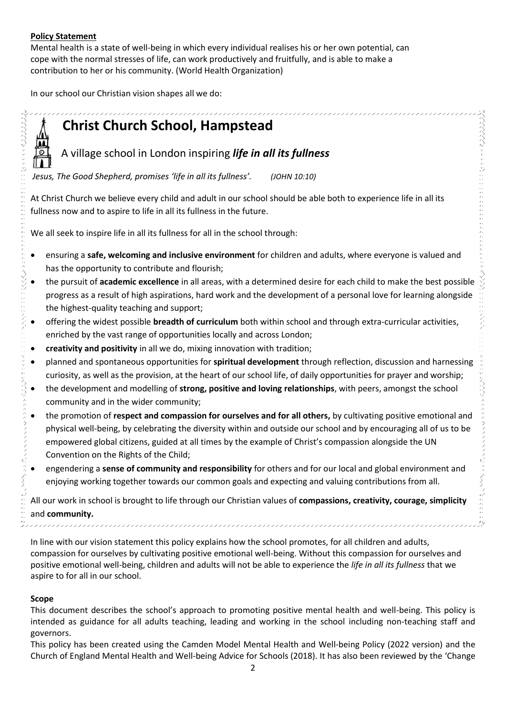## **Policy Statement**

Mental health is a state of well-being in which every individual realises his or her own potential, can cope with the normal stresses of life, can work productively and fruitfully, and is able to make a contribution to her or his community. (World Health Organization)

In our school our Christian vision shapes all we do:



# **Christ Church School, Hampstead**

A village school in London inspiring *life in all its fullness*

*Jesus, The Good Shepherd, promises 'life in all its fullness'. (JOHN 10:10)*

At Christ Church we believe every child and adult in our school should be able both to experience life in all its fullness now and to aspire to life in all its fullness in the future.

We all seek to inspire life in all its fullness for all in the school through:

- ensuring a **safe, welcoming and inclusive environment** for children and adults, where everyone is valued and has the opportunity to contribute and flourish;
- the pursuit of **academic excellence** in all areas, with a determined desire for each child to make the best possible progress as a result of high aspirations, hard work and the development of a personal love for learning alongside the highest-quality teaching and support;
- offering the widest possible **breadth of curriculum** both within school and through extra-curricular activities, enriched by the vast range of opportunities locally and across London;
- **creativity and positivity** in all we do, mixing innovation with tradition;
- planned and spontaneous opportunities for **spiritual development** through reflection, discussion and harnessing curiosity, as well as the provision, at the heart of our school life, of daily opportunities for prayer and worship;
- the development and modelling of **strong, positive and loving relationships**, with peers, amongst the school community and in the wider community;
- the promotion of **respect and compassion for ourselves and for all others,** by cultivating positive emotional and physical well-being, by celebrating the diversity within and outside our school and by encouraging all of us to be empowered global citizens, guided at all times by the example of Christ's compassion alongside the UN Convention on the Rights of the Child;
- engendering a **sense of community and responsibility** for others and for our local and global environment and enjoying working together towards our common goals and expecting and valuing contributions from all.

All our work in school is brought to life through our Christian values of **compassions, creativity, courage, simplicity**  and **community.**

In line with our vision statement this policy explains how the school promotes, for all children and adults, compassion for ourselves by cultivating positive emotional well-being. Without this compassion for ourselves and positive emotional well-being, children and adults will not be able to experience the *life in all its fullness* that we aspire to for all in our school.

## **Scope**

ふきょうきょう ファブラファブ

 $\tilde{\mathcal{L}}$ 

This document describes the school's approach to promoting positive mental health and well-being. This policy is intended as guidance for all adults teaching, leading and working in the school including non-teaching staff and governors.

This policy has been created using the Camden Model Mental Health and Well-being Policy (2022 version) and the Church of England Mental Health and Well-being Advice for Schools (2018). It has also been reviewed by the 'Change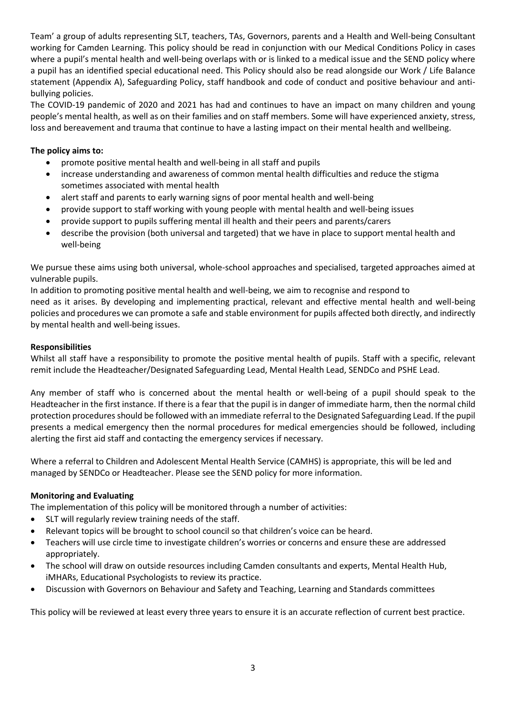Team' a group of adults representing SLT, teachers, TAs, Governors, parents and a Health and Well-being Consultant working for Camden Learning. This policy should be read in conjunction with our Medical Conditions Policy in cases where a pupil's mental health and well-being overlaps with or is linked to a medical issue and the SEND policy where a pupil has an identified special educational need. This Policy should also be read alongside our Work / Life Balance statement (Appendix A), Safeguarding Policy, staff handbook and code of conduct and positive behaviour and antibullying policies.

The COVID-19 pandemic of 2020 and 2021 has had and continues to have an impact on many children and young people's mental health, as well as on their families and on staff members. Some will have experienced anxiety, stress, loss and bereavement and trauma that continue to have a lasting impact on their mental health and wellbeing.

#### **The policy aims to:**

- promote positive mental health and well-being in all staff and pupils
- increase understanding and awareness of common mental health difficulties and reduce the stigma sometimes associated with mental health
- alert staff and parents to early warning signs of poor mental health and well-being
- provide support to staff working with young people with mental health and well-being issues
- provide support to pupils suffering mental ill health and their peers and parents/carers
- describe the provision (both universal and targeted) that we have in place to support mental health and well-being

We pursue these aims using both universal, whole-school approaches and specialised, targeted approaches aimed at vulnerable pupils.

In addition to promoting positive mental health and well-being, we aim to recognise and respond to need as it arises. By developing and implementing practical, relevant and effective mental health and well-being policies and procedures we can promote a safe and stable environment for pupils affected both directly, and indirectly by mental health and well-being issues.

#### **Responsibilities**

Whilst all staff have a responsibility to promote the positive mental health of pupils. Staff with a specific, relevant remit include the Headteacher/Designated Safeguarding Lead, Mental Health Lead, SENDCo and PSHE Lead.

Any member of staff who is concerned about the mental health or well-being of a pupil should speak to the Headteacher in the first instance. If there is a fear that the pupil is in danger of immediate harm, then the normal child protection procedures should be followed with an immediate referral to the Designated Safeguarding Lead. If the pupil presents a medical emergency then the normal procedures for medical emergencies should be followed, including alerting the first aid staff and contacting the emergency services if necessary.

Where a referral to Children and Adolescent Mental Health Service (CAMHS) is appropriate, this will be led and managed by SENDCo or Headteacher. Please see the SEND policy for more information.

#### **Monitoring and Evaluating**

The implementation of this policy will be monitored through a number of activities:

- SLT will regularly review training needs of the staff.
- Relevant topics will be brought to school council so that children's voice can be heard.
- Teachers will use circle time to investigate children's worries or concerns and ensure these are addressed appropriately.
- The school will draw on outside resources including Camden consultants and experts, Mental Health Hub, iMHARs, Educational Psychologists to review its practice.
- Discussion with Governors on Behaviour and Safety and Teaching, Learning and Standards committees

This policy will be reviewed at least every three years to ensure it is an accurate reflection of current best practice.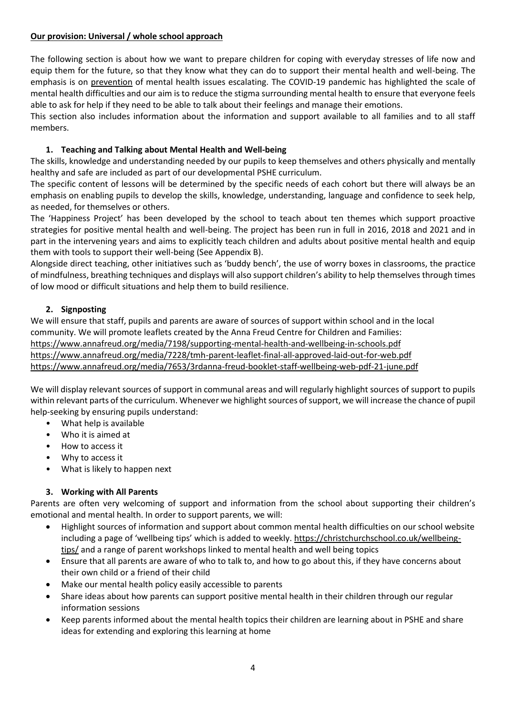#### **Our provision: Universal / whole school approach**

The following section is about how we want to prepare children for coping with everyday stresses of life now and equip them for the future, so that they know what they can do to support their mental health and well-being. The emphasis is on prevention of mental health issues escalating. The COVID-19 pandemic has highlighted the scale of mental health difficulties and our aim is to reduce the stigma surrounding mental health to ensure that everyone feels able to ask for help if they need to be able to talk about their feelings and manage their emotions.

This section also includes information about the information and support available to all families and to all staff members.

## **1. Teaching and Talking about Mental Health and Well-being**

The skills, knowledge and understanding needed by our pupils to keep themselves and others physically and mentally healthy and safe are included as part of our developmental PSHE curriculum.

The specific content of lessons will be determined by the specific needs of each cohort but there will always be an emphasis on enabling pupils to develop the skills, knowledge, understanding, language and confidence to seek help, as needed, for themselves or others.

The 'Happiness Project' has been developed by the school to teach about ten themes which support proactive strategies for positive mental health and well-being. The project has been run in full in 2016, 2018 and 2021 and in part in the intervening years and aims to explicitly teach children and adults about positive mental health and equip them with tools to support their well-being (See Appendix B).

Alongside direct teaching, other initiatives such as 'buddy bench', the use of worry boxes in classrooms, the practice of mindfulness, breathing techniques and displays will also support children's ability to help themselves through times of low mood or difficult situations and help them to build resilience.

#### **2. Signposting**

We will ensure that staff, pupils and parents are aware of sources of support within school and in the local community. We will promote leaflets created by the Anna Freud Centre for Children and Families: <https://www.annafreud.org/media/7198/supporting-mental-health-and-wellbeing-in-schools.pdf> <https://www.annafreud.org/media/7228/tmh-parent-leaflet-final-all-approved-laid-out-for-web.pdf> <https://www.annafreud.org/media/7653/3rdanna-freud-booklet-staff-wellbeing-web-pdf-21-june.pdf>

We will display relevant sources of support in communal areas and will regularly highlight sources of support to pupils within relevant parts of the curriculum. Whenever we highlight sources of support, we will increase the chance of pupil help-seeking by ensuring pupils understand:

- What help is available
- Who it is aimed at
- How to access it
- Why to access it
- What is likely to happen next

## **3. Working with All Parents**

Parents are often very welcoming of support and information from the school about supporting their children's emotional and mental health. In order to support parents, we will:

- Highlight sources of information and support about common mental health difficulties on our school website including a page of 'wellbeing tips' which is added to weekly. [https://christchurchschool.co.uk/wellbeing](https://christchurchschool.co.uk/wellbeing-tips/)[tips/](https://christchurchschool.co.uk/wellbeing-tips/) and a range of parent workshops linked to mental health and well being topics
- Ensure that all parents are aware of who to talk to, and how to go about this, if they have concerns about their own child or a friend of their child
- Make our mental health policy easily accessible to parents
- Share ideas about how parents can support positive mental health in their children through our regular information sessions
- Keep parents informed about the mental health topics their children are learning about in PSHE and share ideas for extending and exploring this learning at home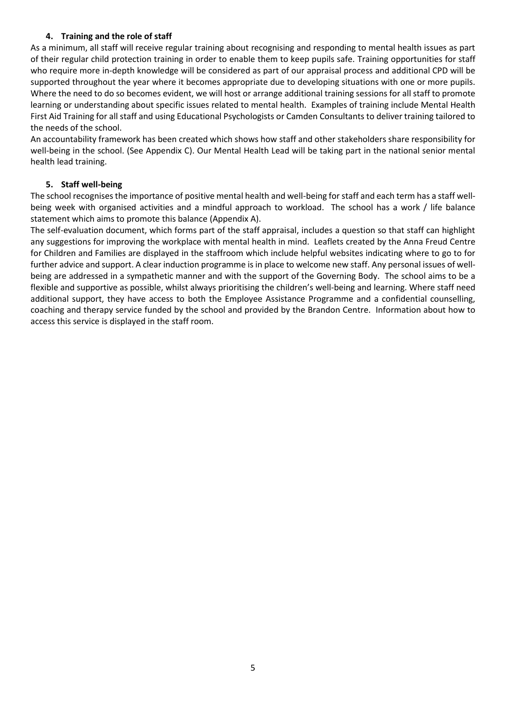#### **4. Training and the role of staff**

As a minimum, all staff will receive regular training about recognising and responding to mental health issues as part of their regular child protection training in order to enable them to keep pupils safe. Training opportunities for staff who require more in-depth knowledge will be considered as part of our appraisal process and additional CPD will be supported throughout the year where it becomes appropriate due to developing situations with one or more pupils. Where the need to do so becomes evident, we will host or arrange additional training sessions for all staff to promote learning or understanding about specific issues related to mental health. Examples of training include Mental Health First Aid Training for all staff and using Educational Psychologists or Camden Consultants to deliver training tailored to the needs of the school.

An accountability framework has been created which shows how staff and other stakeholders share responsibility for well-being in the school. (See Appendix C). Our Mental Health Lead will be taking part in the national senior mental health lead training.

#### **5. Staff well-being**

The school recognises the importance of positive mental health and well-being for staff and each term has a staff wellbeing week with organised activities and a mindful approach to workload. The school has a work / life balance statement which aims to promote this balance (Appendix A).

The self-evaluation document, which forms part of the staff appraisal, includes a question so that staff can highlight any suggestions for improving the workplace with mental health in mind. Leaflets created by the Anna Freud Centre for Children and Families are displayed in the staffroom which include helpful websites indicating where to go to for further advice and support. A clear induction programme is in place to welcome new staff. Any personal issues of wellbeing are addressed in a sympathetic manner and with the support of the Governing Body. The school aims to be a flexible and supportive as possible, whilst always prioritising the children's well-being and learning. Where staff need additional support, they have access to both the Employee Assistance Programme and a confidential counselling, coaching and therapy service funded by the school and provided by the Brandon Centre. Information about how to access this service is displayed in the staff room.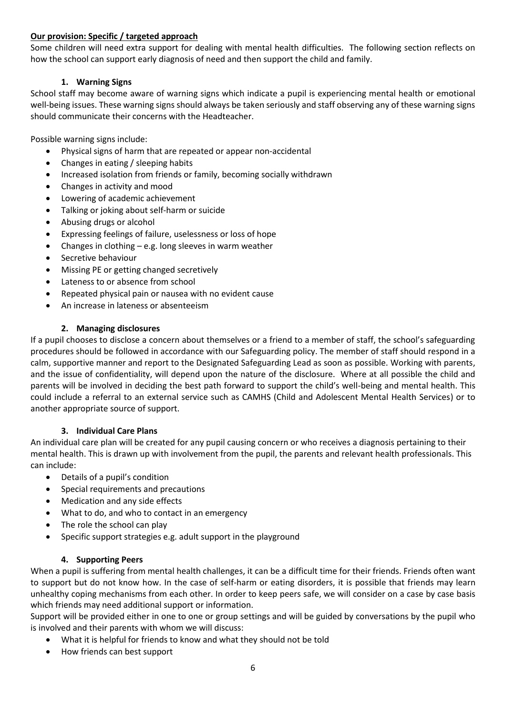#### **Our provision: Specific / targeted approach**

Some children will need extra support for dealing with mental health difficulties. The following section reflects on how the school can support early diagnosis of need and then support the child and family.

#### **1. Warning Signs**

School staff may become aware of warning signs which indicate a pupil is experiencing mental health or emotional well-being issues. These warning signs should always be taken seriously and staff observing any of these warning signs should communicate their concerns with the Headteacher.

Possible warning signs include:

- Physical signs of harm that are repeated or appear non-accidental
- Changes in eating / sleeping habits
- Increased isolation from friends or family, becoming socially withdrawn
- Changes in activity and mood
- Lowering of academic achievement
- Talking or joking about self-harm or suicide
- Abusing drugs or alcohol
- Expressing feelings of failure, uselessness or loss of hope
- Changes in clothing e.g. long sleeves in warm weather
- Secretive behaviour
- Missing PE or getting changed secretively
- Lateness to or absence from school
- Repeated physical pain or nausea with no evident cause
- An increase in lateness or absenteeism

#### **2. Managing disclosures**

If a pupil chooses to disclose a concern about themselves or a friend to a member of staff, the school's safeguarding procedures should be followed in accordance with our Safeguarding policy. The member of staff should respond in a calm, supportive manner and report to the Designated Safeguarding Lead as soon as possible. Working with parents, and the issue of confidentiality, will depend upon the nature of the disclosure. Where at all possible the child and parents will be involved in deciding the best path forward to support the child's well-being and mental health. This could include a referral to an external service such as CAMHS (Child and Adolescent Mental Health Services) or to another appropriate source of support.

#### **3. Individual Care Plans**

An individual care plan will be created for any pupil causing concern or who receives a diagnosis pertaining to their mental health. This is drawn up with involvement from the pupil, the parents and relevant health professionals. This can include:

- Details of a pupil's condition
- Special requirements and precautions
- Medication and any side effects
- What to do, and who to contact in an emergency
- The role the school can play
- Specific support strategies e.g. adult support in the playground

#### **4. Supporting Peers**

When a pupil is suffering from mental health challenges, it can be a difficult time for their friends. Friends often want to support but do not know how. In the case of self-harm or eating disorders, it is possible that friends may learn unhealthy coping mechanisms from each other. In order to keep peers safe, we will consider on a case by case basis which friends may need additional support or information.

Support will be provided either in one to one or group settings and will be guided by conversations by the pupil who is involved and their parents with whom we will discuss:

- What it is helpful for friends to know and what they should not be told
- How friends can best support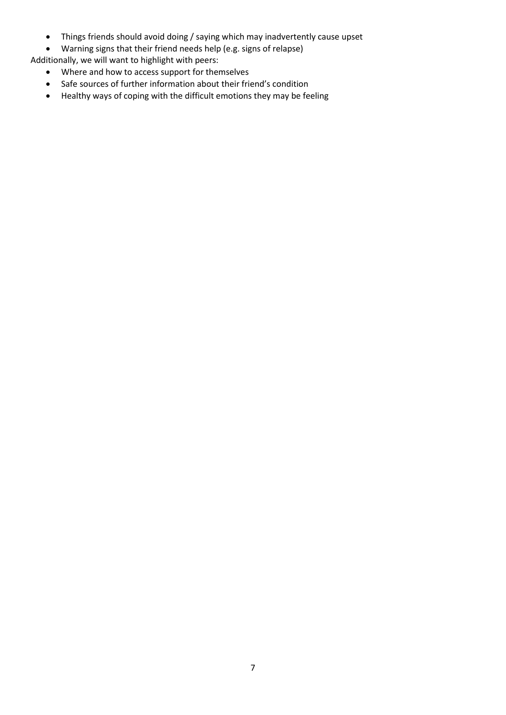- Things friends should avoid doing / saying which may inadvertently cause upset
- Warning signs that their friend needs help (e.g. signs of relapse)
- Additionally, we will want to highlight with peers:
	- Where and how to access support for themselves
	- Safe sources of further information about their friend's condition
	- Healthy ways of coping with the difficult emotions they may be feeling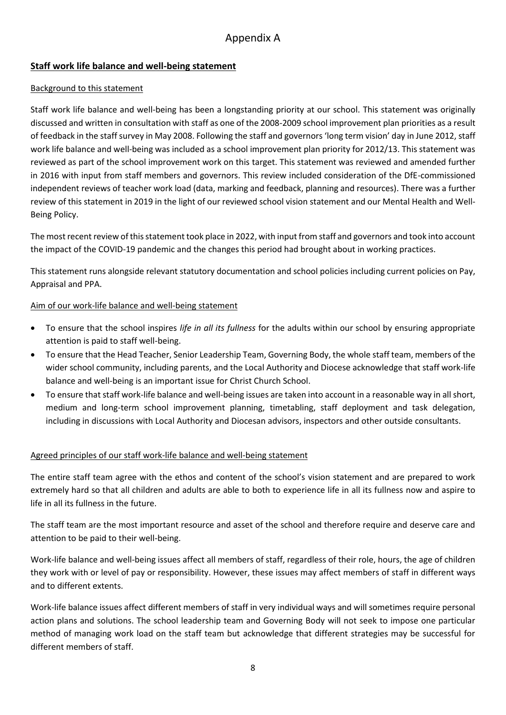# Appendix A

## **Staff work life balance and well-being statement**

#### Background to this statement

Staff work life balance and well-being has been a longstanding priority at our school. This statement was originally discussed and written in consultation with staff as one of the 2008-2009 school improvement plan priorities as a result of feedback in the staff survey in May 2008. Following the staff and governors 'long term vision' day in June 2012, staff work life balance and well-being was included as a school improvement plan priority for 2012/13. This statement was reviewed as part of the school improvement work on this target. This statement was reviewed and amended further in 2016 with input from staff members and governors. This review included consideration of the DfE-commissioned independent reviews of teacher work load (data, marking and feedback, planning and resources). There was a further review of this statement in 2019 in the light of our reviewed school vision statement and our Mental Health and Well-Being Policy.

The most recent review of this statement took place in 2022, with input from staff and governors and took into account the impact of the COVID-19 pandemic and the changes this period had brought about in working practices.

This statement runs alongside relevant statutory documentation and school policies including current policies on Pay, Appraisal and PPA.

#### Aim of our work-life balance and well-being statement

- To ensure that the school inspires *life in all its fullness* for the adults within our school by ensuring appropriate attention is paid to staff well-being.
- To ensure that the Head Teacher, Senior Leadership Team, Governing Body, the whole staff team, members of the wider school community, including parents, and the Local Authority and Diocese acknowledge that staff work-life balance and well-being is an important issue for Christ Church School.
- To ensure that staff work-life balance and well-being issues are taken into account in a reasonable way in all short, medium and long-term school improvement planning, timetabling, staff deployment and task delegation, including in discussions with Local Authority and Diocesan advisors, inspectors and other outside consultants.

#### Agreed principles of our staff work-life balance and well-being statement

The entire staff team agree with the ethos and content of the school's vision statement and are prepared to work extremely hard so that all children and adults are able to both to experience life in all its fullness now and aspire to life in all its fullness in the future.

The staff team are the most important resource and asset of the school and therefore require and deserve care and attention to be paid to their well-being.

Work-life balance and well-being issues affect all members of staff, regardless of their role, hours, the age of children they work with or level of pay or responsibility. However, these issues may affect members of staff in different ways and to different extents.

Work-life balance issues affect different members of staff in very individual ways and will sometimes require personal action plans and solutions. The school leadership team and Governing Body will not seek to impose one particular method of managing work load on the staff team but acknowledge that different strategies may be successful for different members of staff.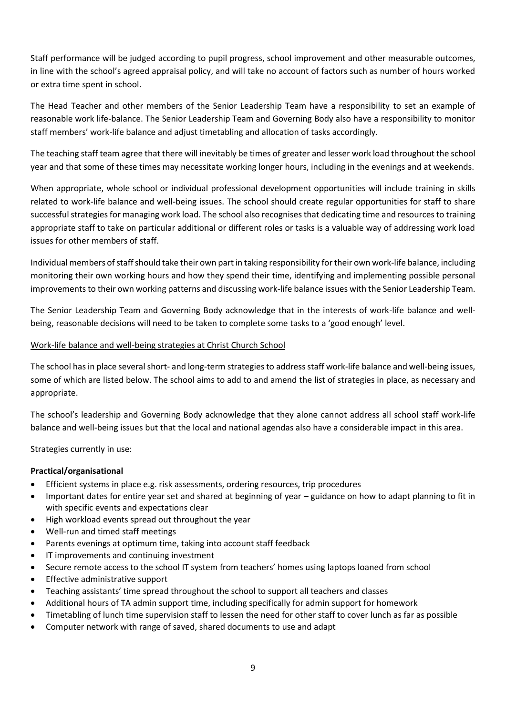Staff performance will be judged according to pupil progress, school improvement and other measurable outcomes, in line with the school's agreed appraisal policy, and will take no account of factors such as number of hours worked or extra time spent in school.

The Head Teacher and other members of the Senior Leadership Team have a responsibility to set an example of reasonable work life-balance. The Senior Leadership Team and Governing Body also have a responsibility to monitor staff members' work-life balance and adjust timetabling and allocation of tasks accordingly.

The teaching staff team agree that there will inevitably be times of greater and lesser work load throughout the school year and that some of these times may necessitate working longer hours, including in the evenings and at weekends.

When appropriate, whole school or individual professional development opportunities will include training in skills related to work-life balance and well-being issues. The school should create regular opportunities for staff to share successful strategies for managing work load. The school also recognises that dedicating time and resources to training appropriate staff to take on particular additional or different roles or tasks is a valuable way of addressing work load issues for other members of staff.

Individual members of staff should take their own part in taking responsibility for their own work-life balance, including monitoring their own working hours and how they spend their time, identifying and implementing possible personal improvements to their own working patterns and discussing work-life balance issues with the Senior Leadership Team.

The Senior Leadership Team and Governing Body acknowledge that in the interests of work-life balance and wellbeing, reasonable decisions will need to be taken to complete some tasks to a 'good enough' level.

#### Work-life balance and well-being strategies at Christ Church School

The school has in place several short- and long-term strategies to address staff work-life balance and well-being issues, some of which are listed below. The school aims to add to and amend the list of strategies in place, as necessary and appropriate.

The school's leadership and Governing Body acknowledge that they alone cannot address all school staff work-life balance and well-being issues but that the local and national agendas also have a considerable impact in this area.

Strategies currently in use:

#### **Practical/organisational**

- Efficient systems in place e.g. risk assessments, ordering resources, trip procedures
- Important dates for entire year set and shared at beginning of year guidance on how to adapt planning to fit in with specific events and expectations clear
- High workload events spread out throughout the year
- Well-run and timed staff meetings
- Parents evenings at optimum time, taking into account staff feedback
- IT improvements and continuing investment
- Secure remote access to the school IT system from teachers' homes using laptops loaned from school
- Effective administrative support
- Teaching assistants' time spread throughout the school to support all teachers and classes
- Additional hours of TA admin support time, including specifically for admin support for homework
- Timetabling of lunch time supervision staff to lessen the need for other staff to cover lunch as far as possible
- Computer network with range of saved, shared documents to use and adapt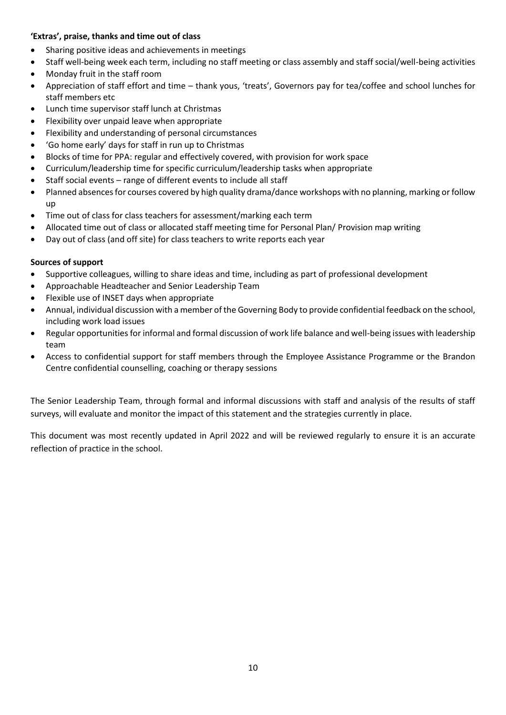#### **'Extras', praise, thanks and time out of class**

- Sharing positive ideas and achievements in meetings
- Staff well-being week each term, including no staff meeting or class assembly and staff social/well-being activities
- Monday fruit in the staff room
- Appreciation of staff effort and time thank yous, 'treats', Governors pay for tea/coffee and school lunches for staff members etc
- Lunch time supervisor staff lunch at Christmas
- Flexibility over unpaid leave when appropriate
- Flexibility and understanding of personal circumstances
- 'Go home early' days for staff in run up to Christmas
- Blocks of time for PPA: regular and effectively covered, with provision for work space
- Curriculum/leadership time for specific curriculum/leadership tasks when appropriate
- Staff social events range of different events to include all staff
- Planned absences for courses covered by high quality drama/dance workshops with no planning, marking or follow up
- Time out of class for class teachers for assessment/marking each term
- Allocated time out of class or allocated staff meeting time for Personal Plan/ Provision map writing
- Day out of class (and off site) for class teachers to write reports each year

#### **Sources of support**

- Supportive colleagues, willing to share ideas and time, including as part of professional development
- Approachable Headteacher and Senior Leadership Team
- Flexible use of INSET days when appropriate
- Annual, individual discussion with a member of the Governing Body to provide confidential feedback on the school, including work load issues
- Regular opportunities for informal and formal discussion of work life balance and well-being issues with leadership team
- Access to confidential support for staff members through the Employee Assistance Programme or the Brandon Centre confidential counselling, coaching or therapy sessions

The Senior Leadership Team, through formal and informal discussions with staff and analysis of the results of staff surveys, will evaluate and monitor the impact of this statement and the strategies currently in place.

This document was most recently updated in April 2022 and will be reviewed regularly to ensure it is an accurate reflection of practice in the school.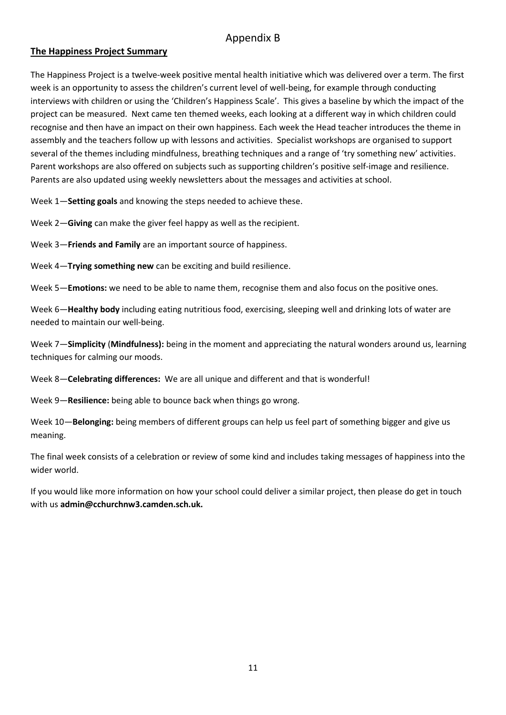# Appendix B

#### **The Happiness Project Summary**

The Happiness Project is a twelve-week positive mental health initiative which was delivered over a term. The first week is an opportunity to assess the children's current level of well-being, for example through conducting interviews with children or using the 'Children's Happiness Scale'. This gives a baseline by which the impact of the project can be measured. Next came ten themed weeks, each looking at a different way in which children could recognise and then have an impact on their own happiness. Each week the Head teacher introduces the theme in assembly and the teachers follow up with lessons and activities. Specialist workshops are organised to support several of the themes including mindfulness, breathing techniques and a range of 'try something new' activities. Parent workshops are also offered on subjects such as supporting children's positive self-image and resilience. Parents are also updated using weekly newsletters about the messages and activities at school.

Week 1—**Setting goals** and knowing the steps needed to achieve these.

Week 2—**Giving** can make the giver feel happy as well as the recipient.

Week 3—**Friends and Family** are an important source of happiness.

Week 4—**Trying something new** can be exciting and build resilience.

Week 5—**Emotions:** we need to be able to name them, recognise them and also focus on the positive ones.

Week 6—**Healthy body** including eating nutritious food, exercising, sleeping well and drinking lots of water are needed to maintain our well-being.

Week 7—**Simplicity** (**Mindfulness):** being in the moment and appreciating the natural wonders around us, learning techniques for calming our moods.

Week 8—**Celebrating differences:** We are all unique and different and that is wonderful!

Week 9—**Resilience:** being able to bounce back when things go wrong.

Week 10—**Belonging:** being members of different groups can help us feel part of something bigger and give us meaning.

The final week consists of a celebration or review of some kind and includes taking messages of happiness into the wider world.

If you would like more information on how your school could deliver a similar project, then please do get in touch with us **admin@cchurchnw3.camden.sch.uk.**